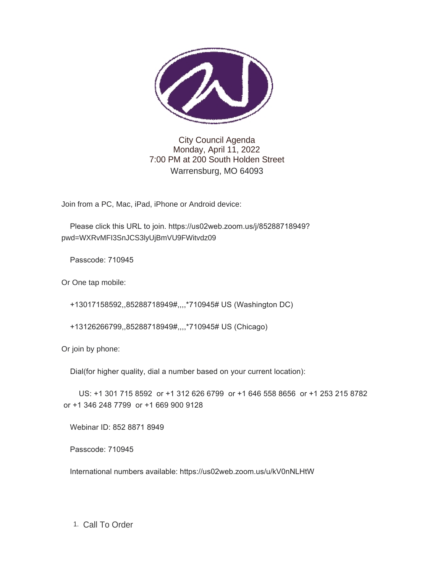

City Council Agenda Monday, April 11, 2022 7:00 PM at 200 South Holden Street Warrensburg, MO 64093

Join from a PC, Mac, iPad, iPhone or Android device:

 Please click this URL to join. https://us02web.zoom.us/j/85288718949? pwd=WXRvMFI3SnJCS3lyUjBmVU9FWitvdz09

Passcode: 710945

Or One tap mobile:

+13017158592,,85288718949#,,,,\*710945# US (Washington DC)

+13126266799,,85288718949#,,,,\*710945# US (Chicago)

Or join by phone:

Dial(for higher quality, dial a number based on your current location):

 US: +1 301 715 8592 or +1 312 626 6799 or +1 646 558 8656 or +1 253 215 8782 or +1 346 248 7799 or +1 669 900 9128

Webinar ID: 852 8871 8949

Passcode: 710945

International numbers available: https://us02web.zoom.us/u/kV0nNLHtW

1. Call To Order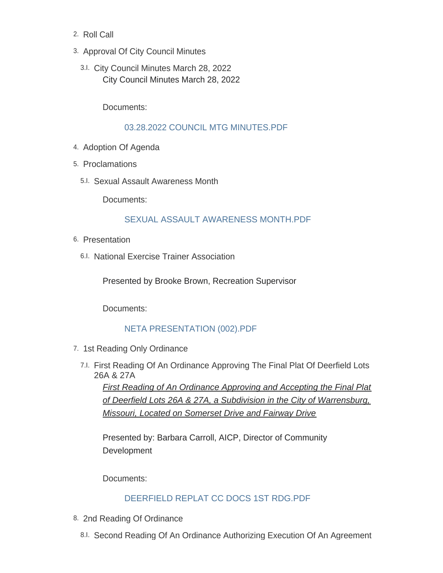- 2. Roll Call
- 3. Approval Of City Council Minutes
- City Council Minutes March 28, 2022 3.I. City Council Minutes March 28, 2022

Documents:

### [03.28.2022 COUNCIL MTG MINUTES.PDF](https://www.warrensburg-mo.com/AgendaCenter/ViewFile/Item/6319?fileID=10980)

- 4. Adoption Of Agenda
- 5. Proclamations
	- 5.I. Sexual Assault Awareness Month

Documents:

## [SEXUAL ASSAULT AWARENESS MONTH.PDF](https://www.warrensburg-mo.com/AgendaCenter/ViewFile/Item/6318?fileID=10985)

- 6. Presentation
	- 6.I. National Exercise Trainer Association

Presented by Brooke Brown, Recreation Supervisor

Documents:

### [NETA PRESENTATION \(002\).PDF](https://www.warrensburg-mo.com/AgendaCenter/ViewFile/Item/6168?fileID=10968)

- 7. 1st Reading Only Ordinance
	- First Reading Of An Ordinance Approving The Final Plat Of Deerfield Lots 7.I. 26A & 27A

*First Reading of An Ordinance Approving and Accepting the Final Plat of Deerfield Lots 26A & 27A, a Subdivision in the City of Warrensburg, Missouri, Located on Somerset Drive and Fairway Drive*

Presented by: Barbara Carroll, AICP, Director of Community Development

Documents:

# [DEERFIELD REPLAT CC DOCS 1ST RDG.PDF](https://www.warrensburg-mo.com/AgendaCenter/ViewFile/Item/6055?fileID=10965)

- 8. 2nd Reading Of Ordinance
	- 8.I. Second Reading Of An Ordinance Authorizing Execution Of An Agreement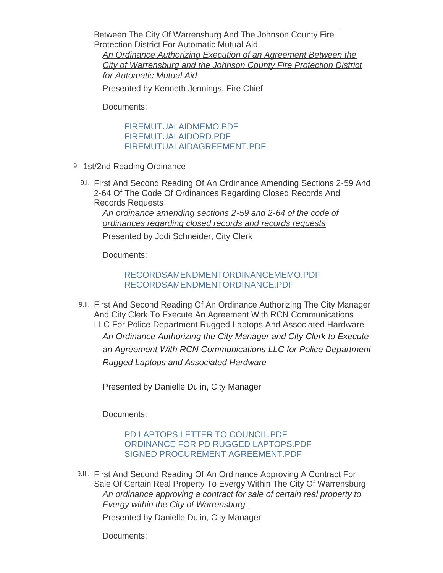Second Reading Of An Ordinance Authorizing Execution Of An Agreement Between The City Of Warrensburg And The Johnson County Fire Protection District For Automatic Mutual Aid

*An Ordinance Authorizing Execution of an Agreement Between the City of Warrensburg and the Johnson County Fire Protection District for Automatic Mutual Aid*

Presented by Kenneth Jennings, Fire Chief

Documents:

[FIREMUTUALAIDMEMO.PDF](https://www.warrensburg-mo.com/AgendaCenter/ViewFile/Item/6174?fileID=10977) [FIREMUTUALAIDORD.PDF](https://www.warrensburg-mo.com/AgendaCenter/ViewFile/Item/6174?fileID=10978) [FIREMUTUALAIDAGREEMENT.PDF](https://www.warrensburg-mo.com/AgendaCenter/ViewFile/Item/6174?fileID=10976)

- 9. 1st/2nd Reading Ordinance
	- 9.I. First And Second Reading Of An Ordinance Amending Sections 2-59 And 2-64 Of The Code Of Ordinances Regarding Closed Records And Records Requests

*An ordinance amending sections 2-59 and 2-64 of the code of ordinances regarding closed records and records requests*

Presented by Jodi Schneider, City Clerk

Documents:

## [RECORDSAMENDMENTORDINANCEMEMO.PDF](https://www.warrensburg-mo.com/AgendaCenter/ViewFile/Item/6284?fileID=10979) [RECORDSAMENDMENTORDINANCE.PDF](https://www.warrensburg-mo.com/AgendaCenter/ViewFile/Item/6284?fileID=10966)

9.II. First And Second Reading Of An Ordinance Authorizing The City Manager And City Clerk To Execute An Agreement With RCN Communications LLC For Police Department Rugged Laptops And Associated Hardware *An Ordinance Authorizing the City Manager and City Clerk to Execute an Agreement With RCN Communications LLC for Police Department Rugged Laptops and Associated Hardware*

Presented by Danielle Dulin, City Manager

Documents:

## [PD LAPTOPS LETTER TO COUNCIL.PDF](https://www.warrensburg-mo.com/AgendaCenter/ViewFile/Item/6235?fileID=10924) [ORDINANCE FOR PD RUGGED LAPTOPS.PDF](https://www.warrensburg-mo.com/AgendaCenter/ViewFile/Item/6235?fileID=10923) [SIGNED PROCUREMENT AGREEMENT.PDF](https://www.warrensburg-mo.com/AgendaCenter/ViewFile/Item/6235?fileID=10922)

9.III. First And Second Reading Of An Ordinance Approving A Contract For Sale Of Certain Real Property To Evergy Within The City Of Warrensburg *An ordinance approving a contract for sale of certain real property to Evergy within the City of Warrensburg.*

Presented by Danielle Dulin, City Manager

Documents: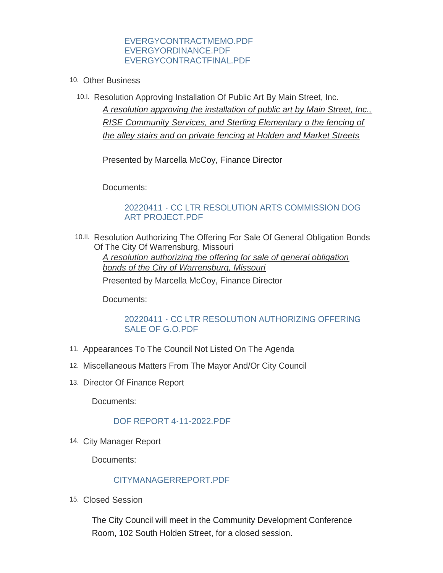#### [EVERGYCONTRACTMEMO.PDF](https://www.warrensburg-mo.com/AgendaCenter/ViewFile/Item/6287?fileID=10986) [EVERGYORDINANCE.PDF](https://www.warrensburg-mo.com/AgendaCenter/ViewFile/Item/6287?fileID=10971) [EVERGYCONTRACTFINAL.PDF](https://www.warrensburg-mo.com/AgendaCenter/ViewFile/Item/6287?fileID=10970)

- 10. Other Business
	- 10.I. Resolution Approving Installation Of Public Art By Main Street, Inc. *A resolution approving the installation of public art by Main Street, Inc., RISE Community Services, and Sterling Elementary o the fencing of the alley stairs and on private fencing at Holden and Market Streets*

Presented by Marcella McCoy, Finance Director

Documents:

### [20220411 - CC LTR RESOLUTION ARTS COMMISSION DOG](https://www.warrensburg-mo.com/AgendaCenter/ViewFile/Item/6286?fileID=10969)  ART PROJECT.PDF

10.II. Resolution Authorizing The Offering For Sale Of General Obligation Bonds Of The City Of Warrensburg, Missouri *A resolution authorizing the offering for sale of general obligation bonds of the City of Warrensburg, Missouri* Presented by Marcella McCoy, Finance Director

Documents:

## [20220411 - CC LTR RESOLUTION AUTHORIZING OFFERING](https://www.warrensburg-mo.com/AgendaCenter/ViewFile/Item/6290?fileID=10972)  SALE OF G.O.PDF

- 11. Appearances To The Council Not Listed On The Agenda
- 12. Miscellaneous Matters From The Mayor And/Or City Council
- 13. Director Of Finance Report

Documents:

### [DOF REPORT 4-11-2022.PDF](https://www.warrensburg-mo.com/AgendaCenter/ViewFile/Item/6320?fileID=10981)

14. City Manager Report

Documents:

# [CITYMANAGERREPORT.PDF](https://www.warrensburg-mo.com/AgendaCenter/ViewFile/Item/6321?fileID=10987)

15. Closed Session

The City Council will meet in the Community Development Conference Room, 102 South Holden Street, for a closed session.